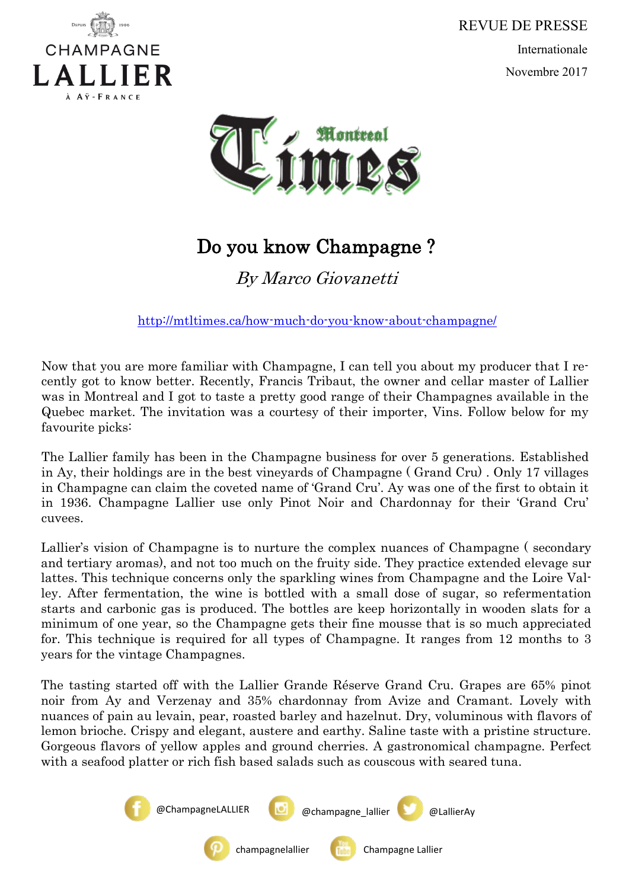

REVUE DE PRESSE Internationale Novembre 2017



## Do you know Champagne ?

By Marco Giovanetti

<http://mtltimes.ca/how-much-do-you-know-about-champagne/>

Now that you are more familiar with Champagne, I can tell you about my producer that I recently got to know better. Recently, Francis Tribaut, the owner and cellar master of Lallier was in Montreal and I got to taste a pretty good range of their Champagnes available in the Quebec market. The invitation was a courtesy of their importer, Vins. Follow below for my favourite picks:

The Lallier family has been in the Champagne business for over 5 generations. Established in Ay, their holdings are in the best vineyards of Champagne ( Grand Cru) . Only 17 villages in Champagne can claim the coveted name of 'Grand Cru'. Ay was one of the first to obtain it in 1936. Champagne Lallier use only Pinot Noir and Chardonnay for their 'Grand Cru' cuvees.

Lallier's vision of Champagne is to nurture the complex nuances of Champagne ( secondary and tertiary aromas), and not too much on the fruity side. They practice extended elevage sur lattes. This technique concerns only the sparkling wines from Champagne and the Loire Valley. After fermentation, the wine is bottled with a small dose of sugar, so refermentation starts and carbonic gas is produced. The bottles are keep horizontally in wooden slats for a minimum of one year, so the Champagne gets their fine mousse that is so much appreciated for. This technique is required for all types of Champagne. It ranges from 12 months to 3 years for the vintage Champagnes.

The tasting started off with the Lallier Grande Réserve Grand Cru. Grapes are 65% pinot noir from Ay and Verzenay and 35% chardonnay from Avize and Cramant. Lovely with nuances of pain au levain, pear, roasted barley and hazelnut. Dry, voluminous with flavors of lemon brioche. Crispy and elegant, austere and earthy. Saline taste with a pristine structure. Gorgeous flavors of yellow apples and ground cherries. A gastronomical champagne. Perfect with a seafood platter or rich fish based salads such as couscous with seared tuna.